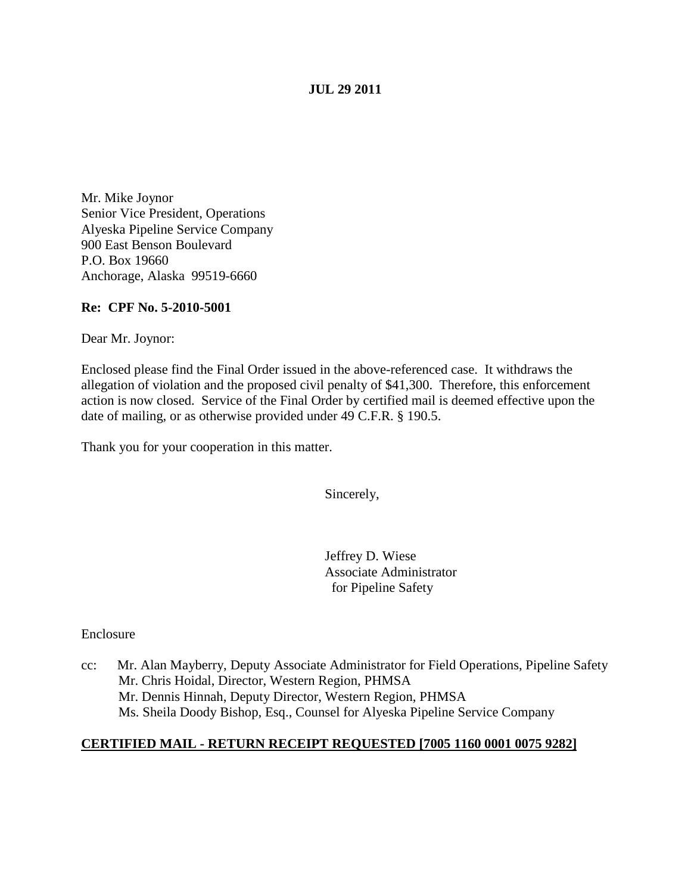## **JUL 29 2011**

Mr. Mike Joynor Senior Vice President, Operations Alyeska Pipeline Service Company 900 East Benson Boulevard P.O. Box 19660 Anchorage, Alaska 99519-6660

## **Re: CPF No. 5-2010-5001**

Dear Mr. Joynor:

Enclosed please find the Final Order issued in the above-referenced case. It withdraws the allegation of violation and the proposed civil penalty of \$41,300. Therefore, this enforcement action is now closed. Service of the Final Order by certified mail is deemed effective upon the date of mailing, or as otherwise provided under 49 C.F.R. § 190.5.

Thank you for your cooperation in this matter.

Sincerely,

Jeffrey D. Wiese Associate Administrator for Pipeline Safety

Enclosure

cc: Mr. Alan Mayberry, Deputy Associate Administrator for Field Operations, Pipeline Safety Mr. Chris Hoidal, Director, Western Region, PHMSA Mr. Dennis Hinnah, Deputy Director, Western Region, PHMSA Ms. Sheila Doody Bishop, Esq., Counsel for Alyeska Pipeline Service Company

## **CERTIFIED MAIL - RETURN RECEIPT REQUESTED [7005 1160 0001 0075 9282]**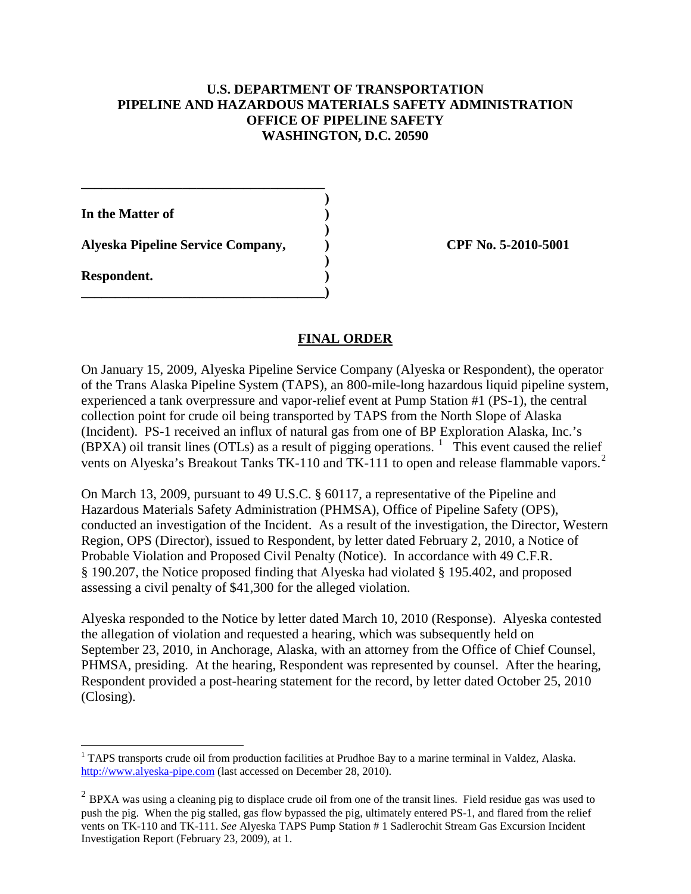## **U.S. DEPARTMENT OF TRANSPORTATION PIPELINE AND HAZARDOUS MATERIALS SAFETY ADMINISTRATION OFFICE OF PIPELINE SAFETY WASHINGTON, D.C. 20590**

**)**

**)**

**)**

**In the Matter of )**

**Alyeska Pipeline Service Company, ) CPF No. 5-2010-5001**

**\_\_\_\_\_\_\_\_\_\_\_\_\_\_\_\_\_\_\_\_\_\_\_\_\_\_\_\_\_\_\_\_\_\_\_\_**

**\_\_\_\_\_\_\_\_\_\_\_\_\_\_\_\_\_\_\_\_\_\_\_\_\_\_\_\_\_\_\_\_\_\_\_\_)**

**Respondent. )**

## **FINAL ORDER**

On January 15, 2009, Alyeska Pipeline Service Company (Alyeska or Respondent), the operator of the Trans Alaska Pipeline System (TAPS), an 800-mile-long hazardous liquid pipeline system, experienced a tank overpressure and vapor-relief event at Pump Station #1 (PS-1), the central collection point for crude oil being transported by TAPS from the North Slope of Alaska (Incident). PS-1 received an influx of natural gas from one of BP Exploration Alaska, Inc.'s  $(BPXA)$  oil transit lines (OTLs) as a result of pigging operations. <sup>[1](#page-1-0)</sup> This event caused the relief vents on Alyeska's Breakout Tanks TK-110 and TK-111 to open and release flammable vapors.<sup>[2](#page-1-1)</sup>

On March 13, 2009, pursuant to 49 U.S.C. § 60117, a representative of the Pipeline and Hazardous Materials Safety Administration (PHMSA), Office of Pipeline Safety (OPS), conducted an investigation of the Incident. As a result of the investigation, the Director, Western Region, OPS (Director), issued to Respondent, by letter dated February 2, 2010, a Notice of Probable Violation and Proposed Civil Penalty (Notice). In accordance with 49 C.F.R. § 190.207, the Notice proposed finding that Alyeska had violated § 195.402, and proposed assessing a civil penalty of \$41,300 for the alleged violation.

Alyeska responded to the Notice by letter dated March 10, 2010 (Response). Alyeska contested the allegation of violation and requested a hearing, which was subsequently held on September 23, 2010, in Anchorage, Alaska, with an attorney from the Office of Chief Counsel, PHMSA, presiding. At the hearing, Respondent was represented by counsel. After the hearing, Respondent provided a post-hearing statement for the record, by letter dated October 25, 2010 (Closing).

<span id="page-1-0"></span><sup>&</sup>lt;sup>1</sup> TAPS transports crude oil from production facilities at Prudhoe Bay to a marine terminal in Valdez, Alaska. [http://www.alyeska-pipe.com](http://www.alyeska-pipe.com/) (last accessed on December 28, 2010).

<span id="page-1-1"></span><sup>&</sup>lt;sup>2</sup> BPXA was using a cleaning pig to displace crude oil from one of the transit lines. Field residue gas was used to push the pig. When the pig stalled, gas flow bypassed the pig, ultimately entered PS-1, and flared from the relief vents on TK-110 and TK-111. *See* Alyeska TAPS Pump Station # 1 Sadlerochit Stream Gas Excursion Incident Investigation Report (February 23, 2009), at 1.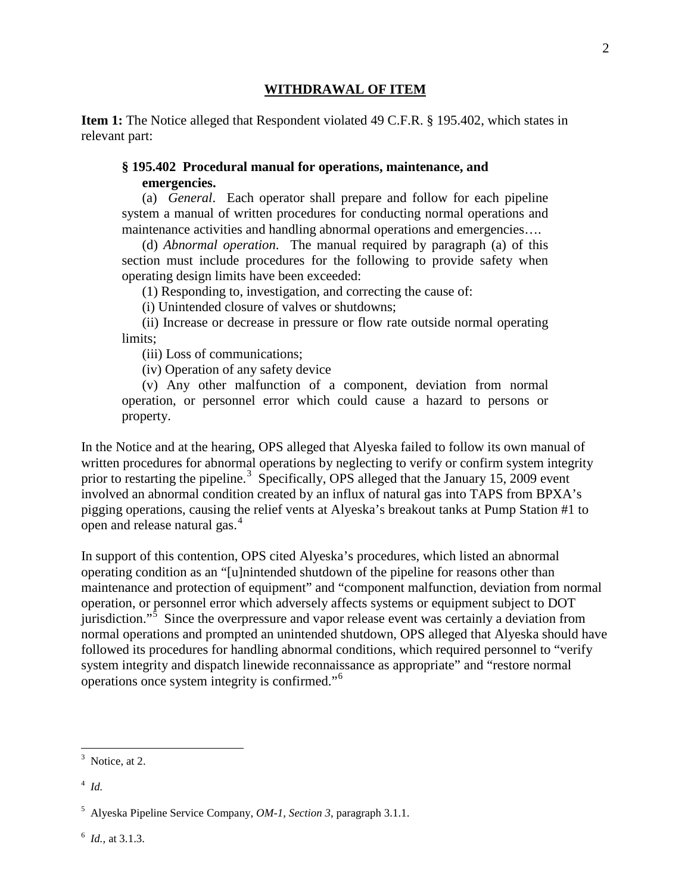#### **WITHDRAWAL OF ITEM**

**Item 1:** The Notice alleged that Respondent violated 49 C.F.R. § 195.402, which states in relevant part:

## **§ 195.402 Procedural manual for operations, maintenance, and emergencies.**

(a) *General*. Each operator shall prepare and follow for each pipeline system a manual of written procedures for conducting normal operations and maintenance activities and handling abnormal operations and emergencies….

(d) *Abnormal operation*. The manual required by paragraph (a) of this section must include procedures for the following to provide safety when operating design limits have been exceeded:

(1) Responding to, investigation, and correcting the cause of:

(i) Unintended closure of valves or shutdowns;

 (ii) Increase or decrease in pressure or flow rate outside normal operating limits;

(iii) Loss of communications;

(iv) Operation of any safety device

 (v) Any other malfunction of a component, deviation from normal operation, or personnel error which could cause a hazard to persons or property.

In the Notice and at the hearing, OPS alleged that Alyeska failed to follow its own manual of written procedures for abnormal operations by neglecting to verify or confirm system integrity prior to restarting the pipeline.<sup>[3](#page-2-0)</sup> Specifically, OPS alleged that the January 15, 2009 event involved an abnormal condition created by an influx of natural gas into TAPS from BPXA's pigging operations, causing the relief vents at Alyeska's breakout tanks at Pump Station #1 to open and release natural gas.<sup>[4](#page-2-1)</sup>

In support of this contention, OPS cited Alyeska's procedures, which listed an abnormal operating condition as an "[u]nintended shutdown of the pipeline for reasons other than maintenance and protection of equipment" and "component malfunction, deviation from normal operation, or personnel error which adversely affects systems or equipment subject to DOT jurisdiction."<sup>[5](#page-2-2)</sup> Since the overpressure and vapor release event was certainly a deviation from normal operations and prompted an unintended shutdown, OPS alleged that Alyeska should have followed its procedures for handling abnormal conditions, which required personnel to "verify system integrity and dispatch linewide reconnaissance as appropriate" and "restore normal operations once system integrity is confirmed."[6](#page-2-3)

<span id="page-2-3"></span>6 *Id.,* at 3.1.3.

<span id="page-2-0"></span><sup>&</sup>lt;sup>2</sup><br>3  $3$  Notice, at 2.

<span id="page-2-1"></span><sup>4</sup> *Id.*

<span id="page-2-2"></span><sup>5</sup> Alyeska Pipeline Service Company, *OM-1, Section 3*, paragraph 3.1.1.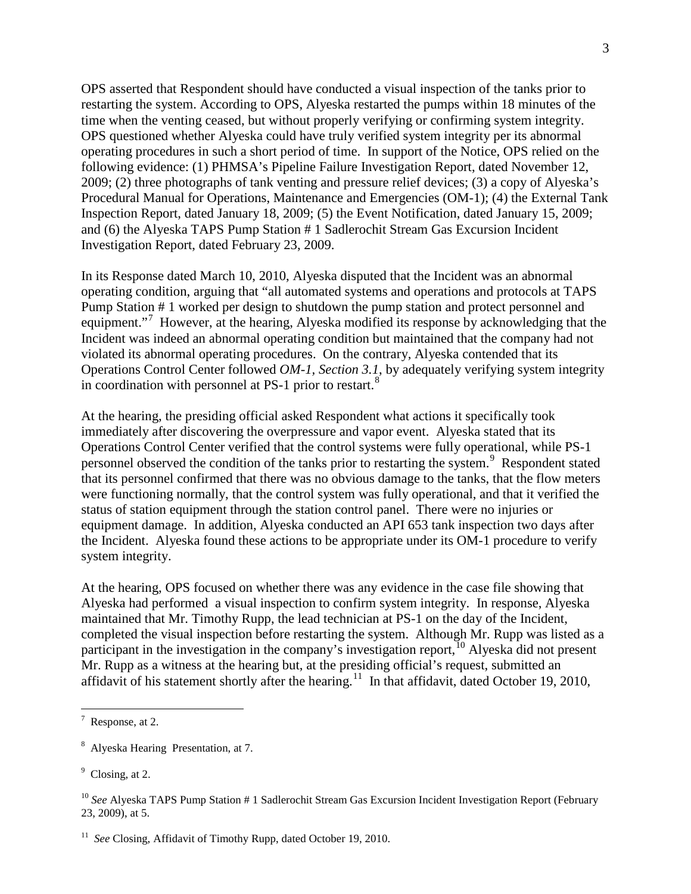OPS asserted that Respondent should have conducted a visual inspection of the tanks prior to restarting the system. According to OPS, Alyeska restarted the pumps within 18 minutes of the time when the venting ceased, but without properly verifying or confirming system integrity. OPS questioned whether Alyeska could have truly verified system integrity per its abnormal operating procedures in such a short period of time. In support of the Notice, OPS relied on the following evidence: (1) PHMSA's Pipeline Failure Investigation Report, dated November 12, 2009; (2) three photographs of tank venting and pressure relief devices; (3) a copy of Alyeska's Procedural Manual for Operations, Maintenance and Emergencies (OM-1); (4) the External Tank Inspection Report, dated January 18, 2009; (5) the Event Notification, dated January 15, 2009; and (6) the Alyeska TAPS Pump Station # 1 Sadlerochit Stream Gas Excursion Incident Investigation Report, dated February 23, 2009.

In its Response dated March 10, 2010, Alyeska disputed that the Incident was an abnormal operating condition, arguing that "all automated systems and operations and protocols at TAPS Pump Station # 1 worked per design to shutdown the pump station and protect personnel and equipment."<sup>[7](#page-3-0)</sup> However, at the hearing, Alyeska modified its response by acknowledging that the Incident was indeed an abnormal operating condition but maintained that the company had not violated its abnormal operating procedures. On the contrary, Alyeska contended that its Operations Control Center followed *OM-1, Section 3.1*, by adequately verifying system integrity in coordination with personnel at PS-1 prior to restart. $8$ 

At the hearing, the presiding official asked Respondent what actions it specifically took immediately after discovering the overpressure and vapor event. Alyeska stated that its Operations Control Center verified that the control systems were fully operational, while PS-1 personnel observed the condition of the tanks prior to restarting the system.<sup>[9](#page-3-2)</sup> Respondent stated that its personnel confirmed that there was no obvious damage to the tanks, that the flow meters were functioning normally, that the control system was fully operational, and that it verified the status of station equipment through the station control panel. There were no injuries or equipment damage. In addition, Alyeska conducted an API 653 tank inspection two days after the Incident. Alyeska found these actions to be appropriate under its OM-1 procedure to verify system integrity.

At the hearing, OPS focused on whether there was any evidence in the case file showing that Alyeska had performed a visual inspection to confirm system integrity. In response, Alyeska maintained that Mr. Timothy Rupp, the lead technician at PS-1 on the day of the Incident, completed the visual inspection before restarting the system. Although Mr. Rupp was listed as a participant in the investigation in the company's investigation report,<sup>[10](#page-3-3)</sup> Alyeska did not present Mr. Rupp as a witness at the hearing but, at the presiding official's request, submitted an affidavit of his statement shortly after the hearing.<sup>[11](#page-3-4)</sup> In that affidavit, dated October 19, 2010,

<span id="page-3-0"></span><sup>-&</sup>lt;br>7  $\frac{7}{1}$  Response, at 2.

<span id="page-3-1"></span><sup>&</sup>lt;sup>8</sup> Alyeska Hearing Presentation, at 7.

<span id="page-3-2"></span><sup>&</sup>lt;sup>9</sup> Closing, at 2.

<span id="page-3-3"></span><sup>10</sup> *See* Alyeska TAPS Pump Station # 1 Sadlerochit Stream Gas Excursion Incident Investigation Report (February 23, 2009), at 5.

<span id="page-3-4"></span><sup>&</sup>lt;sup>11</sup> *See* Closing, Affidavit of Timothy Rupp, dated October 19, 2010.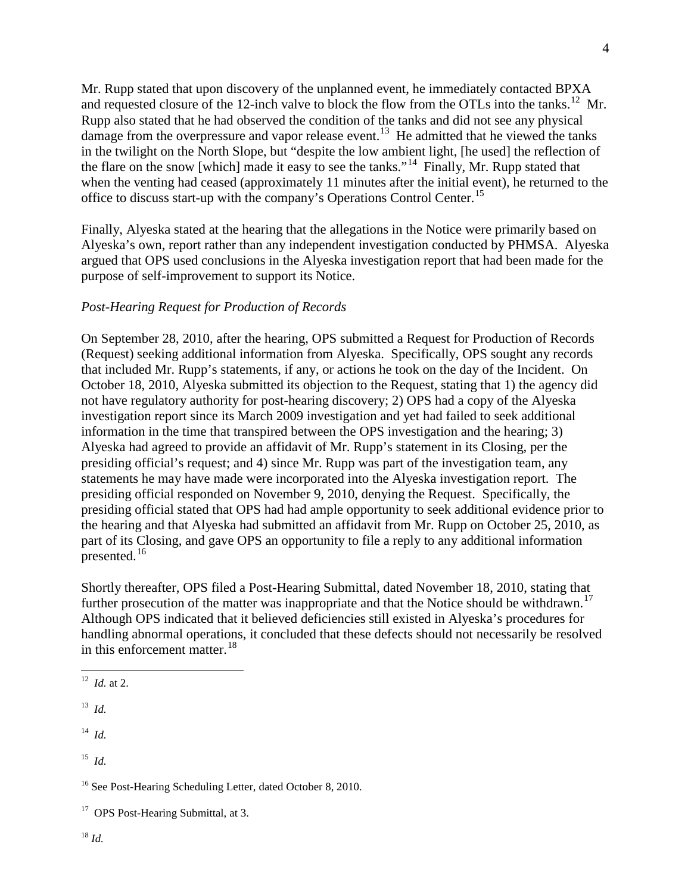Mr. Rupp stated that upon discovery of the unplanned event, he immediately contacted BPXA and requested closure of the [12](#page-4-0)-inch valve to block the flow from the OTLs into the tanks.<sup>12</sup> Mr. Rupp also stated that he had observed the condition of the tanks and did not see any physical damage from the overpressure and vapor release event.<sup>[13](#page-4-1)</sup> He admitted that he viewed the tanks in the twilight on the North Slope, but "despite the low ambient light, [he used] the reflection of the flare on the snow [which] made it easy to see the tanks."<sup>14</sup> Finally, Mr. Rupp stated that when the venting had ceased (approximately 11 minutes after the initial event), he returned to the office to discuss start-up with the company's Operations Control Center.<sup>[15](#page-4-3)</sup>

Finally, Alyeska stated at the hearing that the allegations in the Notice were primarily based on Alyeska's own, report rather than any independent investigation conducted by PHMSA. Alyeska argued that OPS used conclusions in the Alyeska investigation report that had been made for the purpose of self-improvement to support its Notice.

# *Post-Hearing Request for Production of Records*

On September 28, 2010, after the hearing, OPS submitted a Request for Production of Records (Request) seeking additional information from Alyeska. Specifically, OPS sought any records that included Mr. Rupp's statements, if any, or actions he took on the day of the Incident. On October 18, 2010, Alyeska submitted its objection to the Request, stating that 1) the agency did not have regulatory authority for post-hearing discovery; 2) OPS had a copy of the Alyeska investigation report since its March 2009 investigation and yet had failed to seek additional information in the time that transpired between the OPS investigation and the hearing; 3) Alyeska had agreed to provide an affidavit of Mr. Rupp's statement in its Closing, per the presiding official's request; and 4) since Mr. Rupp was part of the investigation team, any statements he may have made were incorporated into the Alyeska investigation report. The presiding official responded on November 9, 2010, denying the Request. Specifically, the presiding official stated that OPS had had ample opportunity to seek additional evidence prior to the hearing and that Alyeska had submitted an affidavit from Mr. Rupp on October 25, 2010, as part of its Closing, and gave OPS an opportunity to file a reply to any additional information  $p$ resented.<sup>16</sup>

Shortly thereafter, OPS filed a Post-Hearing Submittal, dated November 18, 2010, stating that further prosecution of the matter was inappropriate and that the Notice should be withdrawn.<sup>[17](#page-4-5)</sup> Although OPS indicated that it believed deficiencies still existed in Alyeska's procedures for handling abnormal operations, it concluded that these defects should not necessarily be resolved in this enforcement matter.  $18$ 

<span id="page-4-2"></span>14 *Id.*

<span id="page-4-3"></span> $15$  *Id.* 

<span id="page-4-4"></span><sup>16</sup> See Post-Hearing Scheduling Letter, dated October 8, 2010.

<span id="page-4-6"></span><span id="page-4-5"></span><sup>17</sup> OPS Post-Hearing Submittal, at 3.

<span id="page-4-0"></span> <sup>12</sup> *Id.* at 2.

<span id="page-4-1"></span> $13$  *Id.*